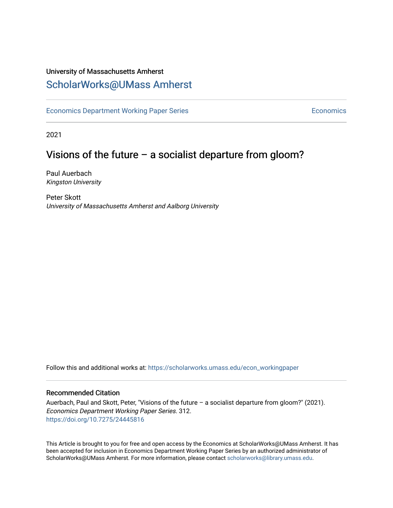## University of Massachusetts Amherst [ScholarWorks@UMass Amherst](https://scholarworks.umass.edu/)

[Economics Department Working Paper Series](https://scholarworks.umass.edu/econ_workingpaper) **Economics** Economics

2021

# Visions of the future – a socialist departure from gloom?

Paul Auerbach Kingston University

Peter Skott University of Massachusetts Amherst and Aalborg University

Follow this and additional works at: [https://scholarworks.umass.edu/econ\\_workingpaper](https://scholarworks.umass.edu/econ_workingpaper?utm_source=scholarworks.umass.edu%2Fecon_workingpaper%2F312&utm_medium=PDF&utm_campaign=PDFCoverPages) 

#### Recommended Citation

Auerbach, Paul and Skott, Peter, "Visions of the future – a socialist departure from gloom?" (2021). Economics Department Working Paper Series. 312. <https://doi.org/10.7275/24445816>

This Article is brought to you for free and open access by the Economics at ScholarWorks@UMass Amherst. It has been accepted for inclusion in Economics Department Working Paper Series by an authorized administrator of ScholarWorks@UMass Amherst. For more information, please contact [scholarworks@library.umass.edu.](mailto:scholarworks@library.umass.edu)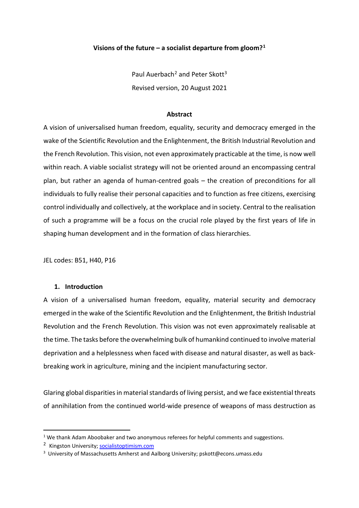## **Visions of the future – a socialist departure from gloom?[1](#page-1-0)**

Paul Auerbach<sup>[2](#page-1-1)</sup> and Peter Skott<sup>3</sup> Revised version, 20 August 2021

#### **Abstract**

A vision of universalised human freedom, equality, security and democracy emerged in the wake of the Scientific Revolution and the Enlightenment, the British Industrial Revolution and the French Revolution. This vision, not even approximately practicable at the time, is now well within reach. A viable socialist strategy will not be oriented around an encompassing central plan, but rather an agenda of human-centred goals – the creation of preconditions for all individuals to fully realise their personal capacities and to function as free citizens, exercising control individually and collectively, at the workplace and in society. Central to the realisation of such a programme will be a focus on the crucial role played by the first years of life in shaping human development and in the formation of class hierarchies.

JEL codes: B51, H40, P16

## **1. Introduction**

A vision of a universalised human freedom, equality, material security and democracy emerged in the wake of the Scientific Revolution and the Enlightenment, the British Industrial Revolution and the French Revolution. This vision was not even approximately realisable at the time. The tasks before the overwhelming bulk of humankind continued to involve material deprivation and a helplessness when faced with disease and natural disaster, as well as backbreaking work in agriculture, mining and the incipient manufacturing sector.

Glaring global disparities in material standards of living persist, and we face existential threats of annihilation from the continued world-wide presence of weapons of mass destruction as

<span id="page-1-0"></span> $1$  We thank Adam Aboobaker and two anonymous referees for helpful comments and suggestions.

<span id="page-1-1"></span><sup>2</sup> Kingston University; [socialistoptimism.com](http://socialistoptimism.com/)

<span id="page-1-2"></span><sup>&</sup>lt;sup>3</sup> University of Massachusetts Amherst and Aalborg University; pskott@econs.umass.edu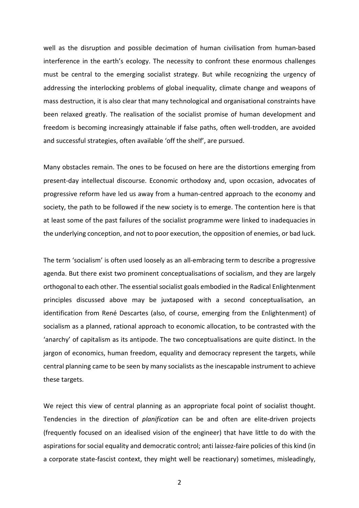well as the disruption and possible decimation of human civilisation from human-based interference in the earth's ecology. The necessity to confront these enormous challenges must be central to the emerging socialist strategy. But while recognizing the urgency of addressing the interlocking problems of global inequality, climate change and weapons of mass destruction, it is also clear that many technological and organisational constraints have been relaxed greatly. The realisation of the socialist promise of human development and freedom is becoming increasingly attainable if false paths, often well-trodden, are avoided and successful strategies, often available 'off the shelf', are pursued.

Many obstacles remain. The ones to be focused on here are the distortions emerging from present-day intellectual discourse. Economic orthodoxy and, upon occasion, advocates of progressive reform have led us away from a human-centred approach to the economy and society, the path to be followed if the new society is to emerge. The contention here is that at least some of the past failures of the socialist programme were linked to inadequacies in the underlying conception, and not to poor execution, the opposition of enemies, or bad luck.

The term 'socialism' is often used loosely as an all-embracing term to describe a progressive agenda. But there exist two prominent conceptualisations of socialism, and they are largely orthogonal to each other. The essential socialist goals embodied in the Radical Enlightenment principles discussed above may be juxtaposed with a second conceptualisation, an identification from René Descartes (also, of course, emerging from the Enlightenment) of socialism as a planned, rational approach to economic allocation, to be contrasted with the 'anarchy' of capitalism as its antipode. The two conceptualisations are quite distinct. In the jargon of economics, human freedom, equality and democracy represent the targets, while central planning came to be seen by many socialists as the inescapable instrument to achieve these targets.

We reject this view of central planning as an appropriate focal point of socialist thought. Tendencies in the direction of *planification* can be and often are elite-driven projects (frequently focused on an idealised vision of the engineer) that have little to do with the aspirations for social equality and democratic control; anti laissez-faire policies of this kind (in a corporate state-fascist context, they might well be reactionary) sometimes, misleadingly,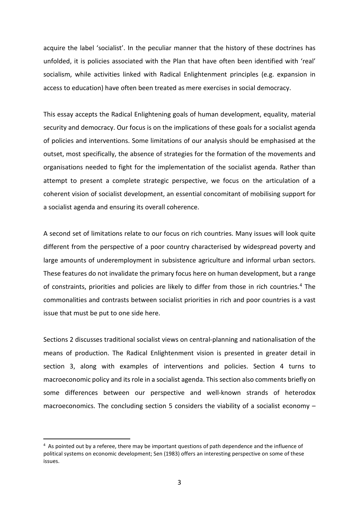acquire the label 'socialist'. In the peculiar manner that the history of these doctrines has unfolded, it is policies associated with the Plan that have often been identified with 'real' socialism, while activities linked with Radical Enlightenment principles (e.g. expansion in access to education) have often been treated as mere exercises in social democracy.

This essay accepts the Radical Enlightening goals of human development, equality, material security and democracy. Our focus is on the implications of these goals for a socialist agenda of policies and interventions. Some limitations of our analysis should be emphasised at the outset, most specifically, the absence of strategies for the formation of the movements and organisations needed to fight for the implementation of the socialist agenda. Rather than attempt to present a complete strategic perspective, we focus on the articulation of a coherent vision of socialist development, an essential concomitant of mobilising support for a socialist agenda and ensuring its overall coherence.

A second set of limitations relate to our focus on rich countries. Many issues will look quite different from the perspective of a poor country characterised by widespread poverty and large amounts of underemployment in subsistence agriculture and informal urban sectors. These features do not invalidate the primary focus here on human development, but a range of constraints, priorities and policies are likely to differ from those in rich countries.<sup>[4](#page-3-0)</sup> The commonalities and contrasts between socialist priorities in rich and poor countries is a vast issue that must be put to one side here.

Sections 2 discusses traditional socialist views on central-planning and nationalisation of the means of production. The Radical Enlightenment vision is presented in greater detail in section 3, along with examples of interventions and policies. Section 4 turns to macroeconomic policy and its role in a socialist agenda. This section also comments briefly on some differences between our perspective and well-known strands of heterodox macroeconomics. The concluding section 5 considers the viability of a socialist economy  $-$ 

<span id="page-3-0"></span><sup>4</sup> As pointed out by a referee, there may be important questions of path dependence and the influence of political systems on economic development; Sen (1983) offers an interesting perspective on some of these issues.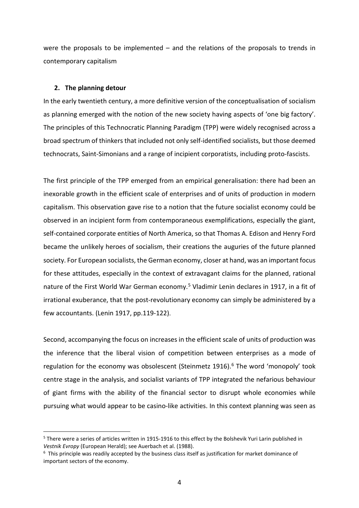were the proposals to be implemented – and the relations of the proposals to trends in contemporary capitalism

#### **2. The planning detour**

In the early twentieth century, a more definitive version of the conceptualisation of socialism as planning emerged with the notion of the new society having aspects of 'one big factory'. The principles of this Technocratic Planning Paradigm (TPP) were widely recognised across a broad spectrum of thinkers that included not only self-identified socialists, but those deemed technocrats, Saint-Simonians and a range of incipient corporatists, including proto-fascists.

The first principle of the TPP emerged from an empirical generalisation: there had been an inexorable growth in the efficient scale of enterprises and of units of production in modern capitalism. This observation gave rise to a notion that the future socialist economy could be observed in an incipient form from contemporaneous exemplifications, especially the giant, self-contained corporate entities of North America, so that Thomas A. Edison and Henry Ford became the unlikely heroes of socialism, their creations the auguries of the future planned society. For European socialists, the German economy, closer at hand, was an important focus for these attitudes, especially in the context of extravagant claims for the planned, rational nature of the First World War German economy.<sup>[5](#page-4-0)</sup> Vladimir Lenin declares in 1917, in a fit of irrational exuberance, that the post-revolutionary economy can simply be administered by a few accountants. (Lenin 1917, pp.119-122).

Second, accompanying the focus on increases in the efficient scale of units of production was the inference that the liberal vision of competition between enterprises as a mode of regulation for the economy was obsolescent (Steinmetz 191[6](#page-4-1)).<sup>6</sup> The word 'monopoly' took centre stage in the analysis, and socialist variants of TPP integrated the nefarious behaviour of giant firms with the ability of the financial sector to disrupt whole economies while pursuing what would appear to be casino-like activities. In this context planning was seen as

<span id="page-4-0"></span><sup>5</sup> There were a series of articles written in 1915-1916 to this effect by the Bolshevik Yuri Larin published in *Vestnik Evropy* (European Herald); see Auerbach et al. (1988).

<span id="page-4-1"></span> $6$  This principle was readily accepted by the business class itself as justification for market dominance of important sectors of the economy.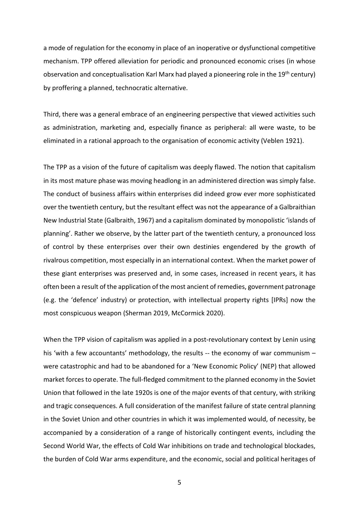a mode of regulation for the economy in place of an inoperative or dysfunctional competitive mechanism. TPP offered alleviation for periodic and pronounced economic crises (in whose observation and conceptualisation Karl Marx had played a pioneering role in the 19<sup>th</sup> century) by proffering a planned, technocratic alternative.

Third, there was a general embrace of an engineering perspective that viewed activities such as administration, marketing and, especially finance as peripheral: all were waste, to be eliminated in a rational approach to the organisation of economic activity (Veblen 1921).

The TPP as a vision of the future of capitalism was deeply flawed. The notion that capitalism in its most mature phase was moving headlong in an administered direction was simply false. The conduct of business affairs within enterprises did indeed grow ever more sophisticated over the twentieth century, but the resultant effect was not the appearance of a Galbraithian New Industrial State (Galbraith, 1967) and a capitalism dominated by monopolistic 'islands of planning'. Rather we observe, by the latter part of the twentieth century, a pronounced loss of control by these enterprises over their own destinies engendered by the growth of rivalrous competition, most especially in an international context. When the market power of these giant enterprises was preserved and, in some cases, increased in recent years, it has often been a result of the application of the most ancient of remedies, government patronage (e.g. the 'defence' industry) or protection, with intellectual property rights [IPRs] now the most conspicuous weapon (Sherman 2019, McCormick 2020).

When the TPP vision of capitalism was applied in a post-revolutionary context by Lenin using his 'with a few accountants' methodology, the results -- the economy of war communism were catastrophic and had to be abandoned for a 'New Economic Policy' (NEP) that allowed market forces to operate. The full-fledged commitment to the planned economy in the Soviet Union that followed in the late 1920s is one of the major events of that century, with striking and tragic consequences. A full consideration of the manifest failure of state central planning in the Soviet Union and other countries in which it was implemented would, of necessity, be accompanied by a consideration of a range of historically contingent events, including the Second World War, the effects of Cold War inhibitions on trade and technological blockades, the burden of Cold War arms expenditure, and the economic, social and political heritages of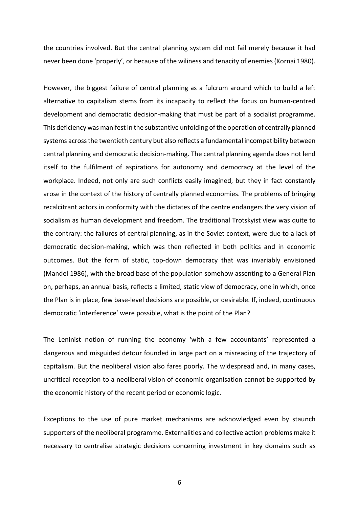the countries involved. But the central planning system did not fail merely because it had never been done 'properly', or because of the wiliness and tenacity of enemies (Kornai 1980).

However, the biggest failure of central planning as a fulcrum around which to build a left alternative to capitalism stems from its incapacity to reflect the focus on human-centred development and democratic decision-making that must be part of a socialist programme. This deficiency was manifest in the substantive unfolding of the operation of centrally planned systems across the twentieth century but also reflects a fundamental incompatibility between central planning and democratic decision-making. The central planning agenda does not lend itself to the fulfilment of aspirations for autonomy and democracy at the level of the workplace. Indeed, not only are such conflicts easily imagined, but they in fact constantly arose in the context of the history of centrally planned economies. The problems of bringing recalcitrant actors in conformity with the dictates of the centre endangers the very vision of socialism as human development and freedom. The traditional Trotskyist view was quite to the contrary: the failures of central planning, as in the Soviet context, were due to a lack of democratic decision-making, which was then reflected in both politics and in economic outcomes. But the form of static, top-down democracy that was invariably envisioned (Mandel 1986), with the broad base of the population somehow assenting to a General Plan on, perhaps, an annual basis, reflects a limited, static view of democracy, one in which, once the Plan is in place, few base-level decisions are possible, or desirable. If, indeed, continuous democratic 'interference' were possible, what is the point of the Plan?

The Leninist notion of running the economy 'with a few accountants' represented a dangerous and misguided detour founded in large part on a misreading of the trajectory of capitalism. But the neoliberal vision also fares poorly. The widespread and, in many cases, uncritical reception to a neoliberal vision of economic organisation cannot be supported by the economic history of the recent period or economic logic.

Exceptions to the use of pure market mechanisms are acknowledged even by staunch supporters of the neoliberal programme. Externalities and collective action problems make it necessary to centralise strategic decisions concerning investment in key domains such as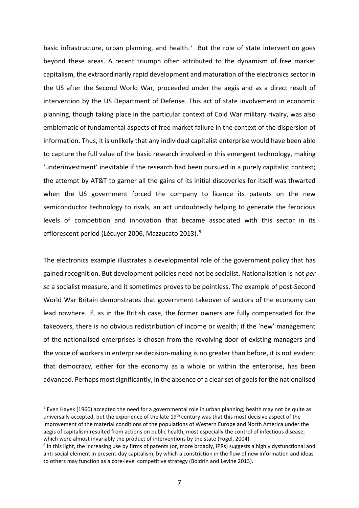basic infrastructure, urban planning, and health.<sup>[7](#page-7-0)</sup> But the role of state intervention goes beyond these areas. A recent triumph often attributed to the dynamism of free market capitalism, the extraordinarily rapid development and maturation of the electronics sector in the US after the Second World War, proceeded under the aegis and as a direct result of intervention by the US Department of Defense. This act of state involvement in economic planning, though taking place in the particular context of Cold War military rivalry, was also emblematic of fundamental aspects of free market failure in the context of the dispersion of information. Thus, it is unlikely that any individual capitalist enterprise would have been able to capture the full value of the basic research involved in this emergent technology, making 'underinvestment' inevitable if the research had been pursued in a purely capitalist context; the attempt by AT&T to garner all the gains of its initial discoveries for itself was thwarted when the US government forced the company to licence its patents on the new semiconductor technology to rivals, an act undoubtedly helping to generate the ferocious levels of competition and innovation that became associated with this sector in its efflorescent period (Lécuyer 2006, Mazzucato 2013).<sup>[8](#page-7-1)</sup>

The electronics example illustrates a developmental role of the government policy that has gained recognition. But development policies need not be socialist. Nationalisation is not *per se* a socialist measure, and it sometimes proves to be pointless. The example of post-Second World War Britain demonstrates that government takeover of sectors of the economy can lead nowhere. If, as in the British case, the former owners are fully compensated for the takeovers, there is no obvious redistribution of income or wealth; if the 'new' management of the nationalised enterprises is chosen from the revolving door of existing managers and the voice of workers in enterprise decision-making is no greater than before, it is not evident that democracy, either for the economy as a whole or within the enterprise, has been advanced. Perhaps most significantly, in the absence of a clear set of goals for the nationalised

<span id="page-7-0"></span><sup>&</sup>lt;sup>7</sup> Even Hayek (1960) accepted the need for a governmental role in urban planning; health may not be quite as universally accepted, but the experience of the late 19<sup>th</sup> century was that this most decisive aspect of the improvement of the material conditions of the populations of Western Europe and North America under the aegis of capitalism resulted from actions on public health, most especially the control of infectious disease, which were almost invariably the product of interventions by the state (Fogel, 2004).

<span id="page-7-1"></span><sup>&</sup>lt;sup>8</sup> In this light, the increasing use by firms of patents (or, more broadly, IPRs) suggests a highly dysfunctional and anti-social element in present-day capitalism, by which a constriction in the flow of new information and ideas to others may function as a core-level competitive strategy (Boldrin and Levine 2013).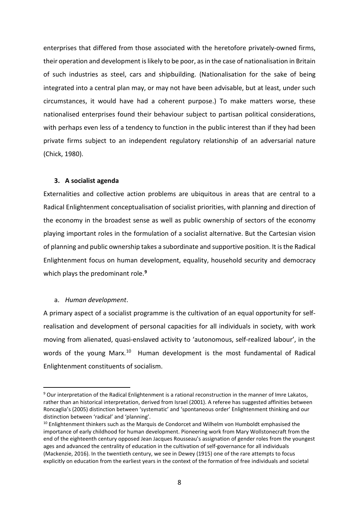enterprises that differed from those associated with the heretofore privately-owned firms, their operation and development is likely to be poor, as in the case of nationalisation in Britain of such industries as steel, cars and shipbuilding. (Nationalisation for the sake of being integrated into a central plan may, or may not have been advisable, but at least, under such circumstances, it would have had a coherent purpose.) To make matters worse, these nationalised enterprises found their behaviour subject to partisan political considerations, with perhaps even less of a tendency to function in the public interest than if they had been private firms subject to an independent regulatory relationship of an adversarial nature (Chick, 1980).

#### **3. A socialist agenda**

Externalities and collective action problems are ubiquitous in areas that are central to a Radical Enlightenment conceptualisation of socialist priorities, with planning and direction of the economy in the broadest sense as well as public ownership of sectors of the economy playing important roles in the formulation of a socialist alternative. But the Cartesian vision of planning and public ownership takes a subordinate and supportive position. It is the Radical Enlightenment focus on human development, equality, household security and democracy which plays the predominant role. **[9](#page-8-0)**

## a. *Human development*.

A primary aspect of a socialist programme is the cultivation of an equal opportunity for selfrealisation and development of personal capacities for all individuals in society, with work moving from alienated, quasi-enslaved activity to 'autonomous, self-realized labour', in the words of the young Marx.<sup>[10](#page-8-1)</sup> Human development is the most fundamental of Radical Enlightenment constituents of socialism.

<span id="page-8-0"></span><sup>9</sup> Our interpretation of the Radical Enlightenment is a rational reconstruction in the manner of Imre Lakatos, rather than an historical interpretation, derived from Israel (2001). A referee has suggested affinities between Roncaglia's (2005) distinction between 'systematic' and 'spontaneous order' Enlightenment thinking and our distinction between 'radical' and 'planning'.

<span id="page-8-1"></span><sup>&</sup>lt;sup>10</sup> Enlightenment thinkers such as the Marquis de Condorcet and Wilhelm von Humboldt emphasised the importance of early childhood for human development. Pioneering work from Mary Wollstonecraft from the end of the eighteenth century opposed Jean Jacques Rousseau's assignation of gender roles from the youngest ages and advanced the centrality of education in the cultivation of self-governance for all individuals (Mackenzie, 2016). In the twentieth century, we see in Dewey (1915) one of the rare attempts to focus explicitly on education from the earliest years in the context of the formation of free individuals and societal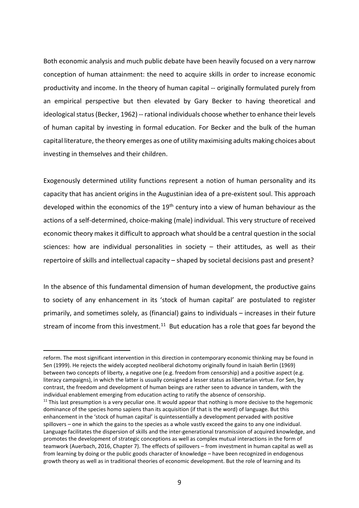Both economic analysis and much public debate have been heavily focused on a very narrow conception of human attainment: the need to acquire skills in order to increase economic productivity and income. In the theory of human capital -- originally formulated purely from an empirical perspective but then elevated by Gary Becker to having theoretical and ideological status(Becker, 1962) -- rational individuals choose whether to enhance their levels of human capital by investing in formal education. For Becker and the bulk of the human capital literature, the theory emerges as one of utility maximising adults making choices about investing in themselves and their children.

Exogenously determined utility functions represent a notion of human personality and its capacity that has ancient origins in the Augustinian idea of a pre-existent soul. This approach developed within the economics of the  $19<sup>th</sup>$  century into a view of human behaviour as the actions of a self-determined, choice-making (male) individual. This very structure of received economic theory makes it difficult to approach what should be a central question in the social sciences: how are individual personalities in society  $-$  their attitudes, as well as their repertoire of skills and intellectual capacity – shaped by societal decisions past and present?

In the absence of this fundamental dimension of human development, the productive gains to society of any enhancement in its 'stock of human capital' are postulated to register primarily, and sometimes solely, as (financial) gains to individuals – increases in their future stream of income from this investment.<sup>[11](#page-9-0)</sup> But education has a role that goes far beyond the

reform. The most significant intervention in this direction in contemporary economic thinking may be found in Sen (1999). He rejects the widely accepted neoliberal dichotomy originally found in Isaiah Berlin (1969) between two concepts of liberty, a negative one (e.g. freedom from censorship) and a positive aspect (e.g. literacy campaigns), in which the latter is usually consigned a lesser status as libertarian virtue. For Sen, by contrast, the freedom and development of human beings are rather seen to advance in tandem, with the individual enablement emerging from education acting to ratify the absence of censorship.

<span id="page-9-0"></span> $11$  This last presumption is a very peculiar one. It would appear that nothing is more decisive to the hegemonic dominance of the species homo sapiens than its acquisition (if that is the word) of language. But this enhancement in the 'stock of human capital' is quintessentially a development pervaded with positive spillovers – one in which the gains to the species as a whole vastly exceed the gains to any one individual. Language facilitates the dispersion of skills and the inter-generational transmission of acquired knowledge, and promotes the development of strategic conceptions as well as complex mutual interactions in the form of teamwork (Auerbach, 2016, Chapter 7). The effects of spillovers – from investment in human capital as well as from learning by doing or the public goods character of knowledge – have been recognized in endogenous growth theory as well as in traditional theories of economic development. But the role of learning and its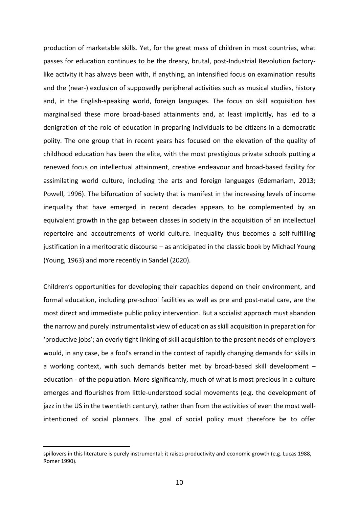production of marketable skills. Yet, for the great mass of children in most countries, what passes for education continues to be the dreary, brutal, post-Industrial Revolution factorylike activity it has always been with, if anything, an intensified focus on examination results and the (near-) exclusion of supposedly peripheral activities such as musical studies, history and, in the English-speaking world, foreign languages. The focus on skill acquisition has marginalised these more broad-based attainments and, at least implicitly, has led to a denigration of the role of education in preparing individuals to be citizens in a democratic polity. The one group that in recent years has focused on the elevation of the quality of childhood education has been the elite, with the most prestigious private schools putting a renewed focus on intellectual attainment, creative endeavour and broad-based facility for assimilating world culture, including the arts and foreign languages (Edemariam, 2013; Powell, 1996). The bifurcation of society that is manifest in the increasing levels of income inequality that have emerged in recent decades appears to be complemented by an equivalent growth in the gap between classes in society in the acquisition of an intellectual repertoire and accoutrements of world culture. Inequality thus becomes a self-fulfilling justification in a meritocratic discourse – as anticipated in the classic book by Michael Young (Young, 1963) and more recently in Sandel (2020).

Children's opportunities for developing their capacities depend on their environment, and formal education, including pre-school facilities as well as pre and post-natal care, are the most direct and immediate public policy intervention. But a socialist approach must abandon the narrow and purely instrumentalist view of education as skill acquisition in preparation for 'productive jobs'; an overly tight linking of skill acquisition to the present needs of employers would, in any case, be a fool's errand in the context of rapidly changing demands for skills in a working context, with such demands better met by broad-based skill development – education - of the population. More significantly, much of what is most precious in a culture emerges and flourishes from little-understood social movements (e.g. the development of jazz in the US in the twentieth century), rather than from the activities of even the most wellintentioned of social planners. The goal of social policy must therefore be to offer

spillovers in this literature is purely instrumental: it raises productivity and economic growth (e.g. Lucas 1988, Romer 1990).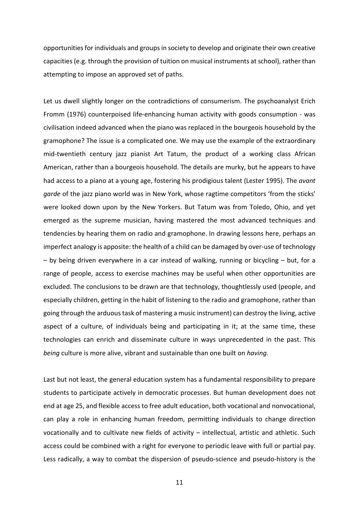opportunities for individuals and groups in society to develop and originate their own creative capacities (e.g. through the provision of tuition on musical instruments at school), rather than attempting to impose an approved set of paths.

Let us dwell slightly longer on the contradictions of consumerism. The psychoanalyst Erich Fromm (1976) counterpoised life-enhancing human activity with goods consumption - was civilisation indeed advanced when the piano was replaced in the bourgeois household by the gramophone? The issue is a complicated one. We may use the example of the extraordinary mid-twentieth century jazz pianist Art Tatum, the product of a working class African American, rather than a bourgeois household. The details are murky, but he appears to have had access to a piano at a young age, fostering his prodigious talent (Lester 1995). The *avant garde* of the jazz piano world was in New York, whose ragtime competitors 'from the sticks' were looked down upon by the New Yorkers. But Tatum was from Toledo, Ohio, and yet emerged as the supreme musician, having mastered the most advanced techniques and tendencies by hearing them on radio and gramophone. In drawing lessons here, perhaps an imperfect analogy is apposite: the health of a child can be damaged by over-use of technology – by being driven everywhere in a car instead of walking, running or bicycling – but, for a range of people, access to exercise machines may be useful when other opportunities are excluded. The conclusions to be drawn are that technology, thoughtlessly used (people, and especially children, getting in the habit of listening to the radio and gramophone, rather than going through the arduous task of mastering a music instrument) can destroy the living, active aspect of a culture, of individuals being and participating in it; at the same time, these technologies can enrich and disseminate culture in ways unprecedented in the past. This *being* culture is more alive, vibrant and sustainable than one built on *having*.

Last but not least, the general education system has a fundamental responsibility to prepare students to participate actively in democratic processes. But human development does not end at age 25, and flexible access to free adult education, both vocational and nonvocational, can play a role in enhancing human freedom, permitting individuals to change direction vocationally and to cultivate new fields of activity – intellectual, artistic and athletic. Such access could be combined with a right for everyone to periodic leave with full or partial pay. Less radically, a way to combat the dispersion of pseudo-science and pseudo-history is the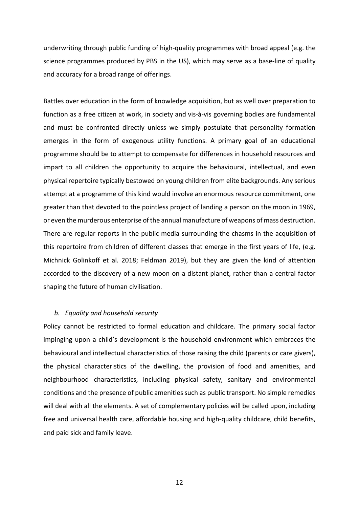underwriting through public funding of high-quality programmes with broad appeal (e.g. the science programmes produced by PBS in the US), which may serve as a base-line of quality and accuracy for a broad range of offerings.

Battles over education in the form of knowledge acquisition, but as well over preparation to function as a free citizen at work, in society and vis-à-vis governing bodies are fundamental and must be confronted directly unless we simply postulate that personality formation emerges in the form of exogenous utility functions. A primary goal of an educational programme should be to attempt to compensate for differences in household resources and impart to all children the opportunity to acquire the behavioural, intellectual, and even physical repertoire typically bestowed on young children from elite backgrounds. Any serious attempt at a programme of this kind would involve an enormous resource commitment, one greater than that devoted to the pointless project of landing a person on the moon in 1969, or even the murderous enterprise of the annual manufacture of weapons of mass destruction. There are regular reports in the public media surrounding the chasms in the acquisition of this repertoire from children of different classes that emerge in the first years of life, (e.g. Michnick Golinkoff et al. 2018; Feldman 2019), but they are given the kind of attention accorded to the discovery of a new moon on a distant planet, rather than a central factor shaping the future of human civilisation.

## *b. Equality and household security*

Policy cannot be restricted to formal education and childcare. The primary social factor impinging upon a child's development is the household environment which embraces the behavioural and intellectual characteristics of those raising the child (parents or care givers), the physical characteristics of the dwelling, the provision of food and amenities, and neighbourhood characteristics, including physical safety, sanitary and environmental conditions and the presence of public amenities such as public transport. No simple remedies will deal with all the elements. A set of complementary policies will be called upon, including free and universal health care, affordable housing and high-quality childcare, child benefits, and paid sick and family leave.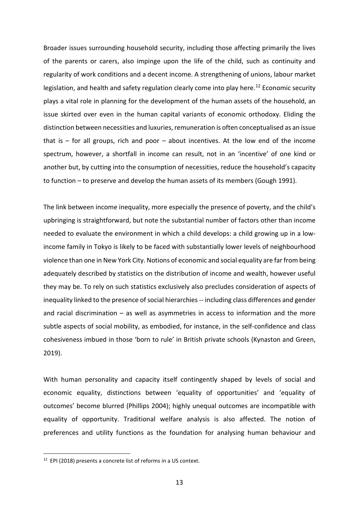Broader issues surrounding household security, including those affecting primarily the lives of the parents or carers, also impinge upon the life of the child, such as continuity and regularity of work conditions and a decent income. A strengthening of unions, labour market legislation, and health and safety regulation clearly come into play here.<sup>[12](#page-13-0)</sup> Economic security plays a vital role in planning for the development of the human assets of the household, an issue skirted over even in the human capital variants of economic orthodoxy. Eliding the distinction between necessities and luxuries, remuneration is often conceptualised as an issue that is  $-$  for all groups, rich and poor  $-$  about incentives. At the low end of the income spectrum, however, a shortfall in income can result, not in an 'incentive' of one kind or another but, by cutting into the consumption of necessities, reduce the household's capacity to function – to preserve and develop the human assets of its members (Gough 1991).

The link between income inequality, more especially the presence of poverty, and the child's upbringing is straightforward, but note the substantial number of factors other than income needed to evaluate the environment in which a child develops: a child growing up in a lowincome family in Tokyo is likely to be faced with substantially lower levels of neighbourhood violence than one in New York City. Notions of economic and social equality are far from being adequately described by statistics on the distribution of income and wealth, however useful they may be. To rely on such statistics exclusively also precludes consideration of aspects of inequality linked to the presence of social hierarchies -- including class differences and gender and racial discrimination – as well as asymmetries in access to information and the more subtle aspects of social mobility, as embodied, for instance, in the self-confidence and class cohesiveness imbued in those 'born to rule' in British private schools (Kynaston and Green, 2019).

With human personality and capacity itself contingently shaped by levels of social and economic equality, distinctions between 'equality of opportunities' and 'equality of outcomes' become blurred (Phillips 2004); highly unequal outcomes are incompatible with equality of opportunity. Traditional welfare analysis is also affected. The notion of preferences and utility functions as the foundation for analysing human behaviour and

<span id="page-13-0"></span><sup>12</sup> EPI (2018) presents a concrete list of reforms in a US context.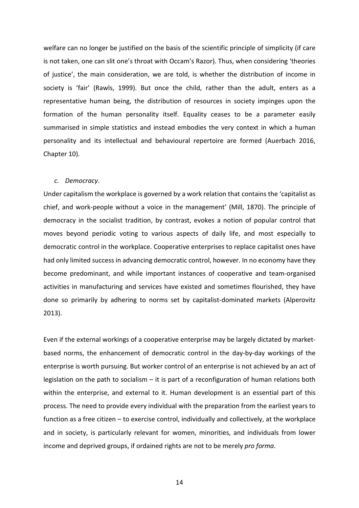welfare can no longer be justified on the basis of the scientific principle of simplicity (if care is not taken, one can slit one's throat with Occam's Razor). Thus, when considering 'theories of justice', the main consideration, we are told, is whether the distribution of income in society is 'fair' (Rawls, 1999). But once the child, rather than the adult, enters as a representative human being, the distribution of resources in society impinges upon the formation of the human personality itself. Equality ceases to be a parameter easily summarised in simple statistics and instead embodies the very context in which a human personality and its intellectual and behavioural repertoire are formed (Auerbach 2016, Chapter 10).

#### *c. Democracy*.

Under capitalism the workplace is governed by a work relation that contains the 'capitalist as chief, and work-people without a voice in the management' (Mill, 1870). The principle of democracy in the socialist tradition, by contrast, evokes a notion of popular control that moves beyond periodic voting to various aspects of daily life, and most especially to democratic control in the workplace. Cooperative enterprises to replace capitalist ones have had only limited success in advancing democratic control, however. In no economy have they become predominant, and while important instances of cooperative and team-organised activities in manufacturing and services have existed and sometimes flourished, they have done so primarily by adhering to norms set by capitalist-dominated markets (Alperovitz 2013).

Even if the external workings of a cooperative enterprise may be largely dictated by marketbased norms, the enhancement of democratic control in the day-by-day workings of the enterprise is worth pursuing. But worker control of an enterprise is not achieved by an act of legislation on the path to socialism  $-$  it is part of a reconfiguration of human relations both within the enterprise, and external to it. Human development is an essential part of this process. The need to provide every individual with the preparation from the earliest years to function as a free citizen – to exercise control, individually and collectively, at the workplace and in society, is particularly relevant for women, minorities, and individuals from lower income and deprived groups, if ordained rights are not to be merely *pro forma*.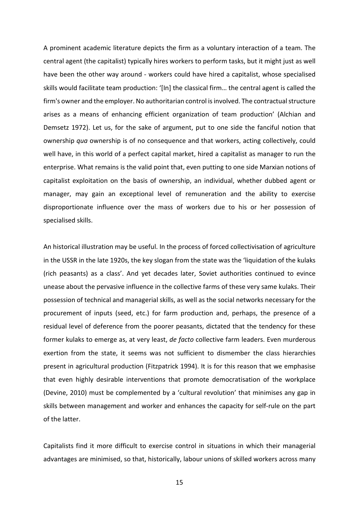A prominent academic literature depicts the firm as a voluntary interaction of a team. The central agent (the capitalist) typically hires workers to perform tasks, but it might just as well have been the other way around - workers could have hired a capitalist, whose specialised skills would facilitate team production: '[In] the classical firm… the central agent is called the firm's owner and the employer. No authoritarian control is involved. The contractual structure arises as a means of enhancing efficient organization of team production' (Alchian and Demsetz 1972). Let us, for the sake of argument, put to one side the fanciful notion that ownership *qua* ownership is of no consequence and that workers, acting collectively, could well have, in this world of a perfect capital market, hired a capitalist as manager to run the enterprise. What remains is the valid point that, even putting to one side Marxian notions of capitalist exploitation on the basis of ownership, an individual, whether dubbed agent or manager, may gain an exceptional level of remuneration and the ability to exercise disproportionate influence over the mass of workers due to his or her possession of specialised skills.

An historical illustration may be useful. In the process of forced collectivisation of agriculture in the USSR in the late 1920s, the key slogan from the state was the 'liquidation of the kulaks (rich peasants) as a class'. And yet decades later, Soviet authorities continued to evince unease about the pervasive influence in the collective farms of these very same kulaks. Their possession of technical and managerial skills, as well as the social networks necessary for the procurement of inputs (seed, etc.) for farm production and, perhaps, the presence of a residual level of deference from the poorer peasants, dictated that the tendency for these former kulaks to emerge as, at very least, *de facto* collective farm leaders. Even murderous exertion from the state, it seems was not sufficient to dismember the class hierarchies present in agricultural production (Fitzpatrick 1994). It is for this reason that we emphasise that even highly desirable interventions that promote democratisation of the workplace (Devine, 2010) must be complemented by a 'cultural revolution' that minimises any gap in skills between management and worker and enhances the capacity for self-rule on the part of the latter.

Capitalists find it more difficult to exercise control in situations in which their managerial advantages are minimised, so that, historically, labour unions of skilled workers across many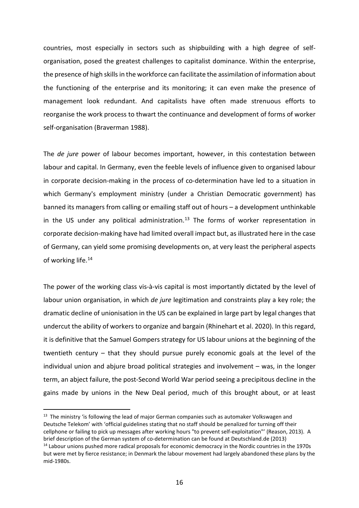countries, most especially in sectors such as shipbuilding with a high degree of selforganisation, posed the greatest challenges to capitalist dominance. Within the enterprise, the presence of high skills in the workforce can facilitate the assimilation of information about the functioning of the enterprise and its monitoring; it can even make the presence of management look redundant. And capitalists have often made strenuous efforts to reorganise the work process to thwart the continuance and development of forms of worker self-organisation (Braverman 1988).

The *de jure* power of labour becomes important, however, in this contestation between labour and capital. In Germany, even the feeble levels of influence given to organised labour in corporate decision-making in the process of co-determination have led to a situation in which Germany's employment ministry (under a Christian Democratic government) has banned its managers from calling or emailing staff out of hours – a development unthinkable in the US under any political administration. [13](#page-16-0) The forms of worker representation in corporate decision-making have had limited overall impact but, as illustrated here in the case of Germany, can yield some promising developments on, at very least the peripheral aspects of working life.<sup>[14](#page-16-1)</sup>

The power of the working class vis-à-vis capital is most importantly dictated by the level of labour union organisation, in which *de jure* legitimation and constraints play a key role; the dramatic decline of unionisation in the US can be explained in large part by legal changes that undercut the ability of workers to organize and bargain (Rhinehart et al. 2020). In this regard, it is definitive that the Samuel Gompers strategy for US labour unions at the beginning of the twentieth century – that they should pursue purely economic goals at the level of the individual union and abjure broad political strategies and involvement – was, in the longer term, an abject failure, the post-Second World War period seeing a precipitous decline in the gains made by unions in the New Deal period, much of this brought about, or at least

<span id="page-16-0"></span> $13$  The ministry 'is following the lead of major German companies such as automaker Volkswagen and Deutsche Telekom' with 'official guidelines stating that no staff should be penalized for turning off their cellphone or failing to pick up messages after working hours "to prevent self-exploitation"' (Reason, 2013). A brief description of the German system of co-determination can be found at Deutschland.de (2013)

<span id="page-16-1"></span><sup>&</sup>lt;sup>14</sup> Labour unions pushed more radical proposals for economic democracy in the Nordic countries in the 1970s but were met by fierce resistance; in Denmark the labour movement had largely abandoned these plans by the mid-1980s.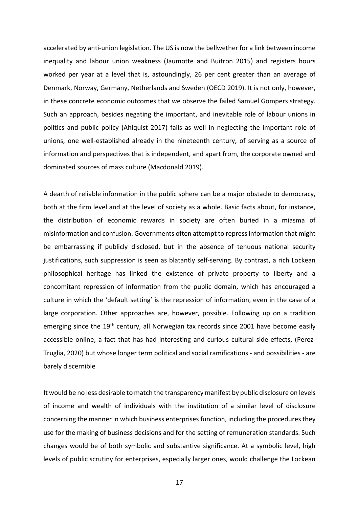accelerated by anti-union legislation. The US is now the bellwether for a link between income inequality and labour union weakness (Jaumotte and Buitron 2015) and registers hours worked per year at a level that is, astoundingly, 26 per cent greater than an average of Denmark, Norway, Germany, Netherlands and Sweden (OECD 2019). It is not only, however, in these concrete economic outcomes that we observe the failed Samuel Gompers strategy. Such an approach, besides negating the important, and inevitable role of labour unions in politics and public policy (Ahlquist 2017) fails as well in neglecting the important role of unions, one well-established already in the nineteenth century, of serving as a source of information and perspectives that is independent, and apart from, the corporate owned and dominated sources of mass culture (Macdonald 2019).

A dearth of reliable information in the public sphere can be a major obstacle to democracy, both at the firm level and at the level of society as a whole. Basic facts about, for instance, the distribution of economic rewards in society are often buried in a miasma of misinformation and confusion. Governments often attempt to repress information that might be embarrassing if publicly disclosed, but in the absence of tenuous national security justifications, such suppression is seen as blatantly self-serving. By contrast, a rich Lockean philosophical heritage has linked the existence of private property to liberty and a concomitant repression of information from the public domain, which has encouraged a culture in which the 'default setting' is the repression of information, even in the case of a large corporation. Other approaches are, however, possible. Following up on a tradition emerging since the 19<sup>th</sup> century, all Norwegian tax records since 2001 have become easily accessible online, a fact that has had interesting and curious cultural side-effects, (Perez-Truglia, 2020) but whose longer term political and social ramifications - and possibilities - are barely discernible

**I**t would be no less desirable to match the transparency manifest by public disclosure on levels of income and wealth of individuals with the institution of a similar level of disclosure concerning the manner in which business enterprises function, including the procedures they use for the making of business decisions and for the setting of remuneration standards. Such changes would be of both symbolic and substantive significance. At a symbolic level, high levels of public scrutiny for enterprises, especially larger ones, would challenge the Lockean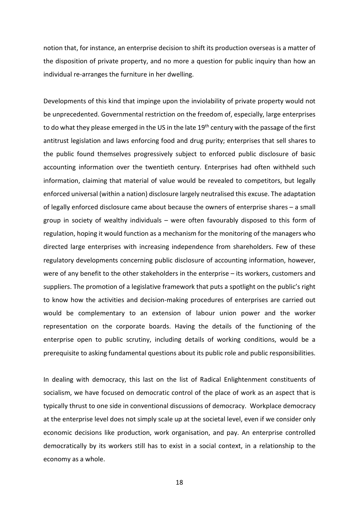notion that, for instance, an enterprise decision to shift its production overseas is a matter of the disposition of private property, and no more a question for public inquiry than how an individual re-arranges the furniture in her dwelling.

Developments of this kind that impinge upon the inviolability of private property would not be unprecedented. Governmental restriction on the freedom of, especially, large enterprises to do what they please emerged in the US in the late 19<sup>th</sup> century with the passage of the first antitrust legislation and laws enforcing food and drug purity; enterprises that sell shares to the public found themselves progressively subject to enforced public disclosure of basic accounting information over the twentieth century. Enterprises had often withheld such information, claiming that material of value would be revealed to competitors, but legally enforced universal (within a nation) disclosure largely neutralised this excuse. The adaptation of legally enforced disclosure came about because the owners of enterprise shares – a small group in society of wealthy individuals – were often favourably disposed to this form of regulation, hoping it would function as a mechanism for the monitoring of the managers who directed large enterprises with increasing independence from shareholders. Few of these regulatory developments concerning public disclosure of accounting information, however, were of any benefit to the other stakeholders in the enterprise – its workers, customers and suppliers. The promotion of a legislative framework that puts a spotlight on the public's right to know how the activities and decision-making procedures of enterprises are carried out would be complementary to an extension of labour union power and the worker representation on the corporate boards. Having the details of the functioning of the enterprise open to public scrutiny, including details of working conditions, would be a prerequisite to asking fundamental questions about its public role and public responsibilities.

In dealing with democracy, this last on the list of Radical Enlightenment constituents of socialism, we have focused on democratic control of the place of work as an aspect that is typically thrust to one side in conventional discussions of democracy. Workplace democracy at the enterprise level does not simply scale up at the societal level, even if we consider only economic decisions like production, work organisation, and pay. An enterprise controlled democratically by its workers still has to exist in a social context, in a relationship to the economy as a whole.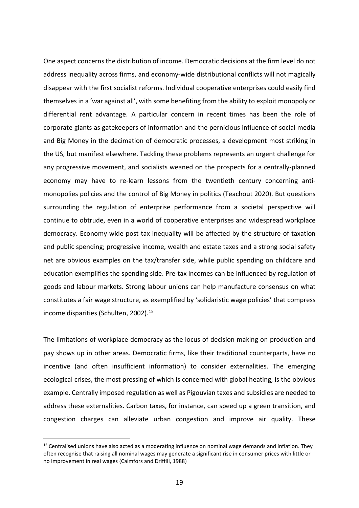One aspect concerns the distribution of income. Democratic decisions at the firm level do not address inequality across firms, and economy-wide distributional conflicts will not magically disappear with the first socialist reforms. Individual cooperative enterprises could easily find themselves in a 'war against all', with some benefiting from the ability to exploit monopoly or differential rent advantage. A particular concern in recent times has been the role of corporate giants as gatekeepers of information and the pernicious influence of social media and Big Money in the decimation of democratic processes, a development most striking in the US, but manifest elsewhere. Tackling these problems represents an urgent challenge for any progressive movement, and socialists weaned on the prospects for a centrally-planned economy may have to re-learn lessons from the twentieth century concerning antimonopolies policies and the control of Big Money in politics (Teachout 2020). But questions surrounding the regulation of enterprise performance from a societal perspective will continue to obtrude, even in a world of cooperative enterprises and widespread workplace democracy. Economy-wide post-tax inequality will be affected by the structure of taxation and public spending; progressive income, wealth and estate taxes and a strong social safety net are obvious examples on the tax/transfer side, while public spending on childcare and education exemplifies the spending side. Pre-tax incomes can be influenced by regulation of goods and labour markets. Strong labour unions can help manufacture consensus on what constitutes a fair wage structure, as exemplified by 'solidaristic wage policies' that compress income disparities (Schulten, 2002).<sup>[15](#page-19-0)</sup>

The limitations of workplace democracy as the locus of decision making on production and pay shows up in other areas. Democratic firms, like their traditional counterparts, have no incentive (and often insufficient information) to consider externalities. The emerging ecological crises, the most pressing of which is concerned with global heating, is the obvious example. Centrally imposed regulation as well as Pigouvian taxes and subsidies are needed to address these externalities. Carbon taxes, for instance, can speed up a green transition, and congestion charges can alleviate urban congestion and improve air quality. These

<span id="page-19-0"></span><sup>&</sup>lt;sup>15</sup> Centralised unions have also acted as a moderating influence on nominal wage demands and inflation. They often recognise that raising all nominal wages may generate a significant rise in consumer prices with little or no improvement in real wages (Calmfors and Driffill, 1988)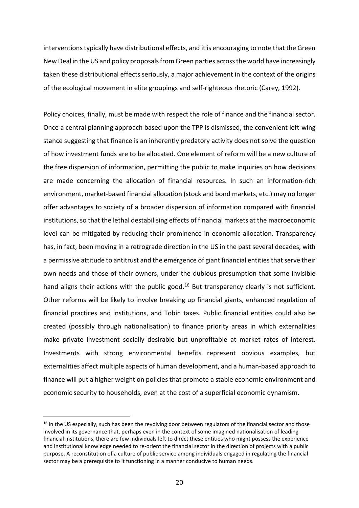interventions typically have distributional effects, and it is encouraging to note that the Green New Deal in the US and policy proposals from Green parties across the world have increasingly taken these distributional effects seriously, a major achievement in the context of the origins of the ecological movement in elite groupings and self-righteous rhetoric (Carey, 1992).

Policy choices, finally, must be made with respect the role of finance and the financial sector. Once a central planning approach based upon the TPP is dismissed, the convenient left-wing stance suggesting that finance is an inherently predatory activity does not solve the question of how investment funds are to be allocated. One element of reform will be a new culture of the free dispersion of information, permitting the public to make inquiries on how decisions are made concerning the allocation of financial resources. In such an information-rich environment, market-based financial allocation (stock and bond markets, etc.) may no longer offer advantages to society of a broader dispersion of information compared with financial institutions, so that the lethal destabilising effects of financial markets at the macroeconomic level can be mitigated by reducing their prominence in economic allocation. Transparency has, in fact, been moving in a retrograde direction in the US in the past several decades, with a permissive attitude to antitrust and the emergence of giant financial entities that serve their own needs and those of their owners, under the dubious presumption that some invisible hand aligns their actions with the public good.<sup>[16](#page-20-0)</sup> But transparency clearly is not sufficient. Other reforms will be likely to involve breaking up financial giants, enhanced regulation of financial practices and institutions, and Tobin taxes. Public financial entities could also be created (possibly through nationalisation) to finance priority areas in which externalities make private investment socially desirable but unprofitable at market rates of interest. Investments with strong environmental benefits represent obvious examples, but externalities affect multiple aspects of human development, and a human-based approach to finance will put a higher weight on policies that promote a stable economic environment and economic security to households, even at the cost of a superficial economic dynamism.

<span id="page-20-0"></span><sup>&</sup>lt;sup>16</sup> In the US especially, such has been the revolving door between regulators of the financial sector and those involved in its governance that, perhaps even in the context of some imagined nationalisation of leading financial institutions, there are few individuals left to direct these entities who might possess the experience and institutional knowledge needed to re-orient the financial sector in the direction of projects with a public purpose. A reconstitution of a culture of public service among individuals engaged in regulating the financial sector may be a prerequisite to it functioning in a manner conducive to human needs.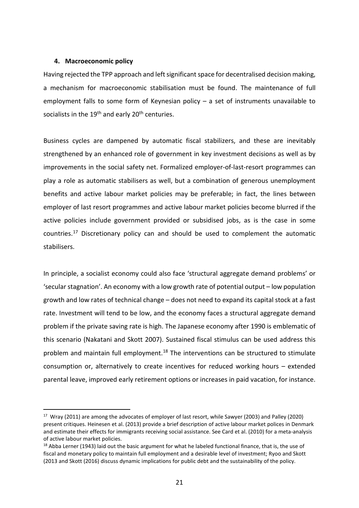#### **4. Macroeconomic policy**

Having rejected the TPP approach and left significant space for decentralised decision making, a mechanism for macroeconomic stabilisation must be found. The maintenance of full employment falls to some form of Keynesian policy – a set of instruments unavailable to socialists in the  $19<sup>th</sup>$  and early  $20<sup>th</sup>$  centuries.

Business cycles are dampened by automatic fiscal stabilizers, and these are inevitably strengthened by an enhanced role of government in key investment decisions as well as by improvements in the social safety net. Formalized employer-of-last-resort programmes can play a role as automatic stabilisers as well, but a combination of generous unemployment benefits and active labour market policies may be preferable; in fact, the lines between employer of last resort programmes and active labour market policies become blurred if the active policies include government provided or subsidised jobs, as is the case in some countries.[17](#page-21-0) Discretionary policy can and should be used to complement the automatic stabilisers.

In principle, a socialist economy could also face 'structural aggregate demand problems' or 'secular stagnation'. An economy with a low growth rate of potential output – low population growth and low rates of technical change – does not need to expand its capital stock at a fast rate. Investment will tend to be low, and the economy faces a structural aggregate demand problem if the private saving rate is high. The Japanese economy after 1990 is emblematic of this scenario (Nakatani and Skott 2007). Sustained fiscal stimulus can be used address this problem and maintain full employment.<sup>[18](#page-21-1)</sup> The interventions can be structured to stimulate consumption or, alternatively to create incentives for reduced working hours – extended parental leave, improved early retirement options or increases in paid vacation, for instance.

<span id="page-21-0"></span><sup>&</sup>lt;sup>17</sup> Wray (2011) are among the advocates of employer of last resort, while Sawyer (2003) and Palley (2020) present critiques. Heinesen et al. (2013) provide a brief description of active labour market polices in Denmark and estimate their effects for immigrants receiving social assistance. See Card et al. (2010) for a meta-analysis of active labour market policies.

<span id="page-21-1"></span><sup>&</sup>lt;sup>18</sup> Abba Lerner (1943) laid out the basic argument for what he labeled functional finance, that is, the use of fiscal and monetary policy to maintain full employment and a desirable level of investment; Ryoo and Skott (2013 and Skott (2016) discuss dynamic implications for public debt and the sustainability of the policy.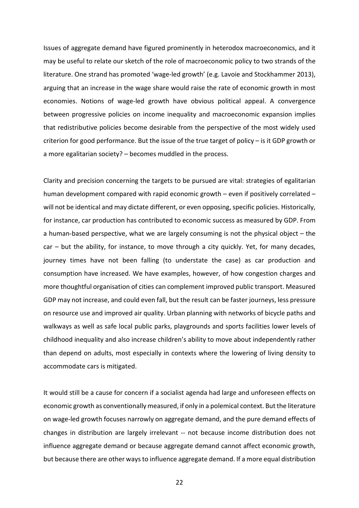Issues of aggregate demand have figured prominently in heterodox macroeconomics, and it may be useful to relate our sketch of the role of macroeconomic policy to two strands of the literature. One strand has promoted 'wage-led growth' (e.g. Lavoie and Stockhammer 2013), arguing that an increase in the wage share would raise the rate of economic growth in most economies. Notions of wage-led growth have obvious political appeal. A convergence between progressive policies on income inequality and macroeconomic expansion implies that redistributive policies become desirable from the perspective of the most widely used criterion for good performance. But the issue of the true target of policy – is it GDP growth or a more egalitarian society? – becomes muddled in the process.

Clarity and precision concerning the targets to be pursued are vital: strategies of egalitarian human development compared with rapid economic growth – even if positively correlated – will not be identical and may dictate different, or even opposing, specific policies. Historically, for instance, car production has contributed to economic success as measured by GDP. From a human-based perspective, what we are largely consuming is not the physical object – the car – but the ability, for instance, to move through a city quickly. Yet, for many decades, journey times have not been falling (to understate the case) as car production and consumption have increased. We have examples, however, of how congestion charges and more thoughtful organisation of cities can complement improved public transport. Measured GDP may not increase, and could even fall, but the result can be faster journeys, less pressure on resource use and improved air quality. Urban planning with networks of bicycle paths and walkways as well as safe local public parks, playgrounds and sports facilities lower levels of childhood inequality and also increase children's ability to move about independently rather than depend on adults, most especially in contexts where the lowering of living density to accommodate cars is mitigated.

It would still be a cause for concern if a socialist agenda had large and unforeseen effects on economic growth as conventionally measured, if only in a polemical context. But the literature on wage-led growth focuses narrowly on aggregate demand, and the pure demand effects of changes in distribution are largely irrelevant -- not because income distribution does not influence aggregate demand or because aggregate demand cannot affect economic growth, but because there are other ways to influence aggregate demand. If a more equal distribution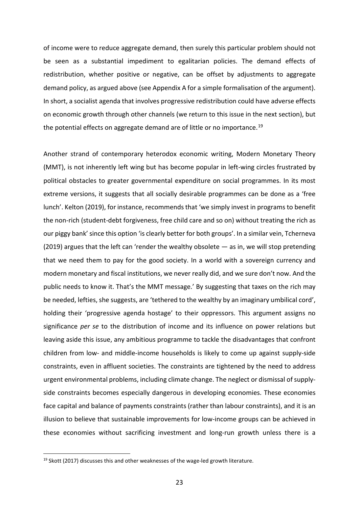of income were to reduce aggregate demand, then surely this particular problem should not be seen as a substantial impediment to egalitarian policies. The demand effects of redistribution, whether positive or negative, can be offset by adjustments to aggregate demand policy, as argued above (see Appendix A for a simple formalisation of the argument). In short, a socialist agenda that involves progressive redistribution could have adverse effects on economic growth through other channels (we return to this issue in the next section), but the potential effects on aggregate demand are of little or no importance.<sup>[19](#page-23-0)</sup>

Another strand of contemporary heterodox economic writing, Modern Monetary Theory (MMT), is not inherently left wing but has become popular in left-wing circles frustrated by political obstacles to greater governmental expenditure on social programmes. In its most extreme versions, it suggests that all socially desirable programmes can be done as a 'free lunch'. Kelton (2019), for instance, recommends that 'we simply invest in programs to benefit the non-rich (student-debt forgiveness, free child care and so on) without treating the rich as our piggy bank' since this option 'is clearly better for both groups'. In a similar vein, Tcherneva (2019) argues that the left can 'render the wealthy obsolete — as in, we will stop pretending that we need them to pay for the good society. In a world with a sovereign currency and modern monetary and fiscal institutions, we never really did, and we sure don't now. And the public needs to know it. That's the MMT message.' By suggesting that taxes on the rich may be needed, lefties, she suggests, are 'tethered to the wealthy by an imaginary umbilical cord', holding their 'progressive agenda hostage' to their oppressors. This argument assigns no significance *per se* to the distribution of income and its influence on power relations but leaving aside this issue, any ambitious programme to tackle the disadvantages that confront children from low- and middle-income households is likely to come up against supply-side constraints, even in affluent societies. The constraints are tightened by the need to address urgent environmental problems, including climate change. The neglect or dismissal of supplyside constraints becomes especially dangerous in developing economies. These economies face capital and balance of payments constraints (rather than labour constraints), and it is an illusion to believe that sustainable improvements for low-income groups can be achieved in these economies without sacrificing investment and long-run growth unless there is a

<span id="page-23-0"></span> $19$  Skott (2017) discusses this and other weaknesses of the wage-led growth literature.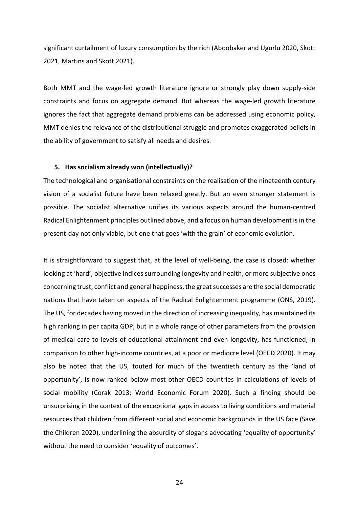significant curtailment of luxury consumption by the rich (Aboobaker and Ugurlu 2020, Skott 2021, Martins and Skott 2021).

Both MMT and the wage-led growth literature ignore or strongly play down supply-side constraints and focus on aggregate demand. But whereas the wage-led growth literature ignores the fact that aggregate demand problems can be addressed using economic policy, MMT denies the relevance of the distributional struggle and promotes exaggerated beliefs in the ability of government to satisfy all needs and desires.

#### **5. Has socialism already won (intellectually)?**

The technological and organisational constraints on the realisation of the nineteenth century vision of a socialist future have been relaxed greatly. But an even stronger statement is possible. The socialist alternative unifies its various aspects around the human-centred Radical Enlightenment principles outlined above, and a focus on human development is in the present-day not only viable, but one that goes 'with the grain' of economic evolution.

It is straightforward to suggest that, at the level of well-being, the case is closed: whether looking at 'hard', objective indices surrounding longevity and health, or more subjective ones concerning trust, conflict and general happiness, the great successes are the social democratic nations that have taken on aspects of the Radical Enlightenment programme (ONS, 2019). The US, for decades having moved in the direction of increasing inequality, has maintained its high ranking in per capita GDP, but in a whole range of other parameters from the provision of medical care to levels of educational attainment and even longevity, has functioned, in comparison to other high-income countries, at a poor or mediocre level (OECD 2020). It may also be noted that the US, touted for much of the twentieth century as the 'land of opportunity', is now ranked below most other OECD countries in calculations of levels of social mobility (Corak 2013; World Economic Forum 2020). Such a finding should be unsurprising in the context of the exceptional gaps in access to living conditions and material resources that children from different social and economic backgrounds in the US face (Save the Children 2020), underlining the absurdity of slogans advocating 'equality of opportunity' without the need to consider 'equality of outcomes'.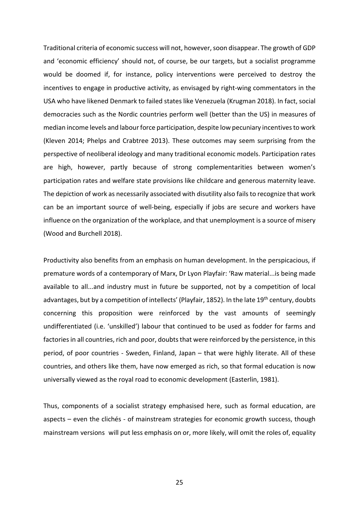Traditional criteria of economic success will not, however,soon disappear. The growth of GDP and 'economic efficiency' should not, of course, be our targets, but a socialist programme would be doomed if, for instance, policy interventions were perceived to destroy the incentives to engage in productive activity, as envisaged by right-wing commentators in the USA who have likened Denmark to failed states like Venezuela (Krugman 2018). In fact, social democracies such as the Nordic countries perform well (better than the US) in measures of median income levels and labour force participation, despite low pecuniary incentives to work (Kleven 2014; Phelps and Crabtree 2013). These outcomes may seem surprising from the perspective of neoliberal ideology and many traditional economic models. Participation rates are high, however, partly because of strong complementarities between women's participation rates and welfare state provisions like childcare and generous maternity leave. The depiction of work as necessarily associated with disutility also fails to recognize that work can be an important source of well-being, especially if jobs are secure and workers have influence on the organization of the workplace, and that unemployment is a source of misery (Wood and Burchell 2018).

Productivity also benefits from an emphasis on human development. In the perspicacious, if premature words of a contemporary of Marx, Dr Lyon Playfair: 'Raw material...is being made available to all...and industry must in future be supported, not by a competition of local advantages, but by a competition of intellects' (Playfair, 1852). In the late 19<sup>th</sup> century, doubts concerning this proposition were reinforced by the vast amounts of seemingly undifferentiated (i.e. 'unskilled') labour that continued to be used as fodder for farms and factories in all countries, rich and poor, doubts that were reinforced by the persistence, in this period, of poor countries - Sweden, Finland, Japan – that were highly literate. All of these countries, and others like them, have now emerged as rich, so that formal education is now universally viewed as the royal road to economic development (Easterlin, 1981).

Thus, components of a socialist strategy emphasised here, such as formal education, are aspects – even the clichés - of mainstream strategies for economic growth success, though mainstream versions will put less emphasis on or, more likely, will omit the roles of, equality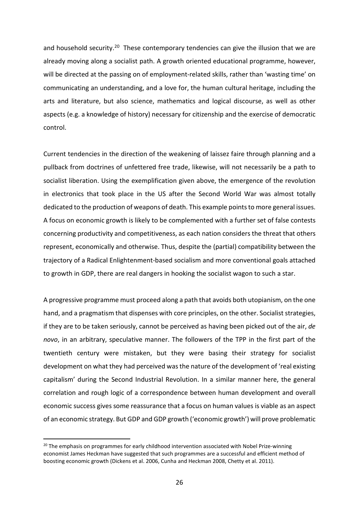and household security.<sup>[20](#page-26-0)</sup> These contemporary tendencies can give the illusion that we are already moving along a socialist path. A growth oriented educational programme, however, will be directed at the passing on of employment-related skills, rather than 'wasting time' on communicating an understanding, and a love for, the human cultural heritage, including the arts and literature, but also science, mathematics and logical discourse, as well as other aspects (e.g. a knowledge of history) necessary for citizenship and the exercise of democratic control.

Current tendencies in the direction of the weakening of laissez faire through planning and a pullback from doctrines of unfettered free trade, likewise, will not necessarily be a path to socialist liberation. Using the exemplification given above, the emergence of the revolution in electronics that took place in the US after the Second World War was almost totally dedicated to the production of weapons of death. This example points to more general issues. A focus on economic growth is likely to be complemented with a further set of false contests concerning productivity and competitiveness, as each nation considers the threat that others represent, economically and otherwise. Thus, despite the (partial) compatibility between the trajectory of a Radical Enlightenment-based socialism and more conventional goals attached to growth in GDP, there are real dangers in hooking the socialist wagon to such a star.

A progressive programme must proceed along a path that avoids both utopianism, on the one hand, and a pragmatism that dispenses with core principles, on the other. Socialist strategies, if they are to be taken seriously, cannot be perceived as having been picked out of the air, *de novo*, in an arbitrary, speculative manner. The followers of the TPP in the first part of the twentieth century were mistaken, but they were basing their strategy for socialist development on what they had perceived was the nature of the development of 'real existing capitalism' during the Second Industrial Revolution. In a similar manner here, the general correlation and rough logic of a correspondence between human development and overall economic success gives some reassurance that a focus on human values is viable as an aspect of an economic strategy. But GDP and GDP growth ('economic growth') will prove problematic

<span id="page-26-0"></span> $20$  The emphasis on programmes for early childhood intervention associated with Nobel Prize-winning economist James Heckman have suggested that such programmes are a successful and efficient method of boosting economic growth (Dickens et al. 2006, Cunha and Heckman 2008, Chetty et al. 2011).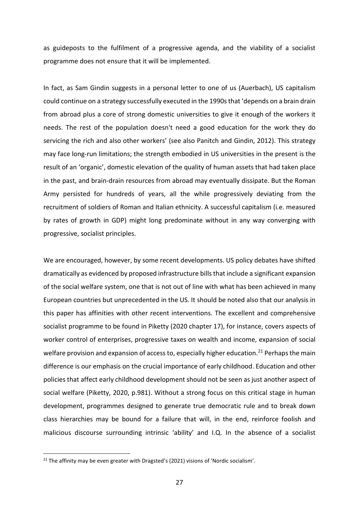as guideposts to the fulfilment of a progressive agenda, and the viability of a socialist programme does not ensure that it will be implemented.

In fact, as Sam Gindin suggests in a personal letter to one of us (Auerbach), US capitalism could continue on a strategy successfully executed in the 1990s that 'depends on a brain drain from abroad plus a core of strong domestic universities to give it enough of the workers it needs. The rest of the population doesn't need a good education for the work they do servicing the rich and also other workers' (see also Panitch and Gindin, 2012). This strategy may face long-run limitations; the strength embodied in US universities in the present is the result of an 'organic', domestic elevation of the quality of human assets that had taken place in the past, and brain-drain resources from abroad may eventually dissipate. But the Roman Army persisted for hundreds of years, all the while progressively deviating from the recruitment of soldiers of Roman and Italian ethnicity. A successful capitalism (i.e. measured by rates of growth in GDP) might long predominate without in any way converging with progressive, socialist principles.

We are encouraged, however, by some recent developments. US policy debates have shifted dramatically as evidenced by proposed infrastructure bills that include a significant expansion of the social welfare system, one that is not out of line with what has been achieved in many European countries but unprecedented in the US. It should be noted also that our analysis in this paper has affinities with other recent interventions. The excellent and comprehensive socialist programme to be found in Piketty (2020 chapter 17), for instance, covers aspects of worker control of enterprises, progressive taxes on wealth and income, expansion of social welfare provision and expansion of access to, especially higher education.<sup>[21](#page-27-0)</sup> Perhaps the main difference is our emphasis on the crucial importance of early childhood. Education and other policies that affect early childhood development should not be seen as just another aspect of social welfare (Piketty, 2020, p.981). Without a strong focus on this critical stage in human development, programmes designed to generate true democratic rule and to break down class hierarchies may be bound for a failure that will, in the end, reinforce foolish and malicious discourse surrounding intrinsic 'ability' and I.Q. In the absence of a socialist

<span id="page-27-0"></span> $21$  The affinity may be even greater with Dragsted's (2021) visions of 'Nordic socialism'.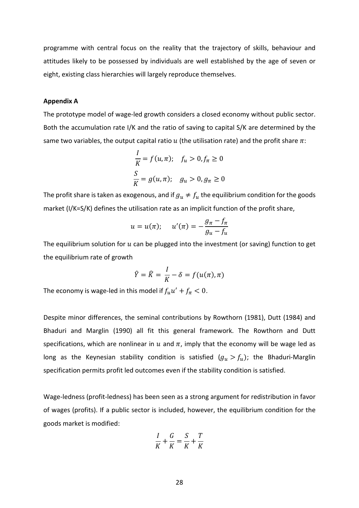programme with central focus on the reality that the trajectory of skills, behaviour and attitudes likely to be possessed by individuals are well established by the age of seven or eight, existing class hierarchies will largely reproduce themselves.

#### **Appendix A**

The prototype model of wage-led growth considers a closed economy without public sector. Both the accumulation rate I/K and the ratio of saving to capital S/K are determined by the same two variables, the output capital ratio  $u$  (the utilisation rate) and the profit share  $\pi$ :

$$
\frac{I}{K} = f(u, \pi); \quad f_u > 0, f_{\pi} \ge 0
$$
  

$$
\frac{S}{K} = g(u, \pi); \quad g_u > 0, g_{\pi} \ge 0
$$

The profit share is taken as exogenous, and if  $g_u \neq f_u$  the equilibrium condition for the goods market (I/K=S/K) defines the utilisation rate as an implicit function of the profit share,

$$
u=u(\pi); \quad u'(\pi)=-\frac{g_{\pi}-f_{\pi}}{g_u-f_u}
$$

The equilibrium solution for  $u$  can be plugged into the investment (or saving) function to get the equilibrium rate of growth

$$
\hat{Y} = \hat{K} = \frac{I}{K} - \delta = f(u(\pi), \pi)
$$

The economy is wage-led in this model if  $f_u u' + f_\pi < 0$ .

Despite minor differences, the seminal contributions by Rowthorn (1981), Dutt (1984) and Bhaduri and Marglin (1990) all fit this general framework. The Rowthorn and Dutt specifications, which are nonlinear in  $u$  and  $\pi$ , imply that the economy will be wage led as long as the Keynesian stability condition is satisfied  $(g_u > f_u)$ ; the Bhaduri-Marglin specification permits profit led outcomes even if the stability condition is satisfied.

Wage-ledness (profit-ledness) has been seen as a strong argument for redistribution in favor of wages (profits). If a public sector is included, however, the equilibrium condition for the goods market is modified:

$$
\frac{I}{K} + \frac{G}{K} = \frac{S}{K} + \frac{T}{K}
$$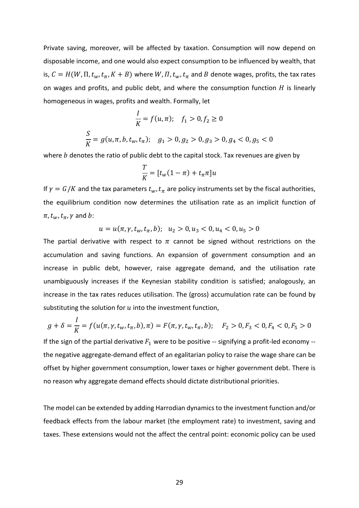Private saving, moreover, will be affected by taxation. Consumption will now depend on disposable income, and one would also expect consumption to be influenced by wealth, that is,  $C = H(W, \Pi, t_w, t_\pi, K + B)$  where W,  $\Pi, t_w, t_\pi$  and B denote wages, profits, the tax rates on wages and profits, and public debt, and where the consumption function  $H$  is linearly homogeneous in wages, profits and wealth. Formally, let

$$
\frac{I}{K} = f(u, \pi); \quad f_1 > 0, f_2 \ge 0
$$
  

$$
\frac{S}{K} = g(u, \pi, b, t_w, t_\pi); \quad g_1 > 0, g_2 > 0, g_3 > 0, g_4 < 0, g_5 < 0
$$

where  $b$  denotes the ratio of public debt to the capital stock. Tax revenues are given by

$$
\frac{T}{K} = [t_w(1-\pi) + t_\pi \pi]u
$$

If  $\gamma = G/K$  and the tax parameters  $t_w$ ,  $t_\pi$  are policy instruments set by the fiscal authorities, the equilibrium condition now determines the utilisation rate as an implicit function of  $\pi$ ,  $t_w$ ,  $t_\pi$ ,  $\gamma$  and  $b$ :

 $u = u(\pi, \gamma, t_w, t_\pi, b); \quad u_2 > 0, u_3 < 0, u_4 < 0, u_5 > 0$ 

The partial derivative with respect to  $\pi$  cannot be signed without restrictions on the accumulation and saving functions. An expansion of government consumption and an increase in public debt, however, raise aggregate demand, and the utilisation rate unambiguously increases if the Keynesian stability condition is satisfied; analogously, an increase in the tax rates reduces utilisation. The (gross) accumulation rate can be found by substituting the solution for  $u$  into the investment function,

$$
g + \delta = \frac{I}{K} = f(u(\pi, \gamma, t_w, t_\pi, b), \pi) = F(\pi, \gamma, t_w, t_\pi, b); \quad F_2 > 0, F_3 < 0, F_4 < 0, F_5 > 0
$$

If the sign of the partial derivative  $F_1$  were to be positive -- signifying a profit-led economy -the negative aggregate-demand effect of an egalitarian policy to raise the wage share can be offset by higher government consumption, lower taxes or higher government debt. There is no reason why aggregate demand effects should dictate distributional priorities.

The model can be extended by adding Harrodian dynamics to the investment function and/or feedback effects from the labour market (the employment rate) to investment, saving and taxes. These extensions would not the affect the central point: economic policy can be used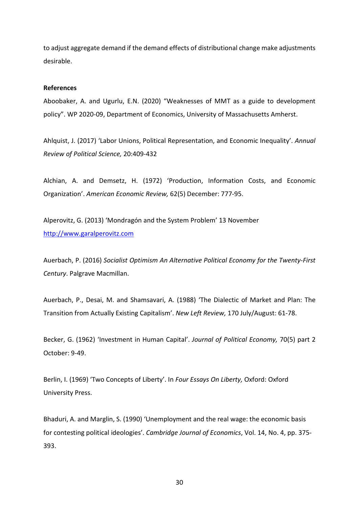to adjust aggregate demand if the demand effects of distributional change make adjustments desirable.

## **References**

Aboobaker, A. and Ugurlu, E.N. (2020) "Weaknesses of MMT as a guide to development policy". WP 2020-09, Department of Economics, University of Massachusetts Amherst.

Ahlquist, J. (2017) 'Labor Unions, Political Representation, and Economic Inequality'. *Annual Review of Political Science,* 20:409-432

Alchian, A. and Demsetz, H. (1972) 'Production, Information Costs, and Economic Organization'. *American Economic Review,* 62(5) December: 777-95.

Alperovitz, G. (2013) 'Mondragón and the System Problem' 13 November [http://www.garalperovitz.com](http://www.garalperovitz.com/)

Auerbach, P. (2016) *Socialist Optimism An Alternative Political Economy for the Twenty-First Century*. Palgrave Macmillan.

Auerbach, P., Desai, M. and Shamsavari, A. (1988) 'The Dialectic of Market and Plan: The Transition from Actually Existing Capitalism'. *New Left Review,* 170 July/August: 61-78.

Becker, G. (1962) 'Investment in Human Capital'. *Journal of Political Economy,* 70(5) part 2 October: 9-49.

Berlin, I. (1969) 'Two Concepts of Liberty'. In *Four Essays On Liberty,* Oxford: Oxford University Press.

Bhaduri, A. and Marglin, S. (1990) 'Unemployment and the real wage: the economic basis for contesting political ideologies'. *Cambridge Journal of Economics*, Vol. 14, No. 4, pp. 375- 393.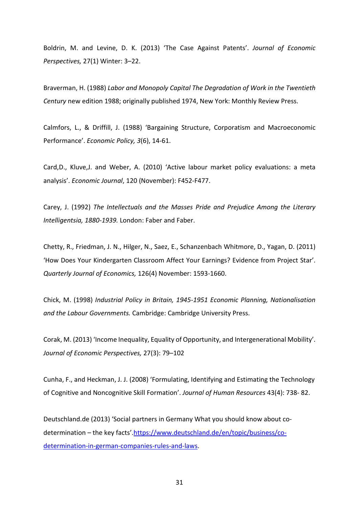Boldrin, M. and Levine, D. K. (2013) 'The Case Against Patents'. *Journal of Economic Perspectives,* 27(1) Winter: 3–22.

Braverman, H. (1988) *Labor and Monopoly Capital The Degradation of Work in the Twentieth Century* new edition 1988; originally published 1974, New York: Monthly Review Press.

Calmfors, L., & Driffill, J. (1988) 'Bargaining Structure, Corporatism and Macroeconomic Performance'. *Economic Policy, 3*(6), 14-61.

Card,D., Kluve,J. and Weber, A. (2010) 'Active labour market policy evaluations: a meta analysis'. *Economic Journal*, 120 (November): F452-F477.

Carey, J. (1992) *The Intellectuals and the Masses Pride and Prejudice Among the Literary Intelligentsia, 1880-1939.* London: Faber and Faber.

Chetty, R., Friedman, J. N., Hilger, N., Saez, E., Schanzenbach Whitmore, D., Yagan, D. (2011) 'How Does Your Kindergarten Classroom Affect Your Earnings? Evidence from Project Star'. *Quarterly Journal of Economics,* 126(4) November: 1593-1660.

Chick, M. (1998) *Industrial Policy in Britain, 1945-1951 Economic Planning, Nationalisation and the Labour Governments.* Cambridge: Cambridge University Press.

Corak, M. (2013) 'Income Inequality, Equality of Opportunity, and Intergenerational Mobility'. *Journal of Economic Perspectives,* 27(3): 79–102

Cunha, F., and Heckman, J. J. (2008) 'Formulating, Identifying and Estimating the Technology of Cognitive and Noncognitive Skill Formation'. *Journal of Human Resources* 43(4): 738- 82.

Deutschland.de (2013) 'Social partners in Germany What you should know about codetermination – the key facts'[.https://www.deutschland.de/en/topic/business/co](https://www.deutschland.de/en/topic/business/co-determination-in-german-companies-rules-and-laws)[determination-in-german-companies-rules-and-laws.](https://www.deutschland.de/en/topic/business/co-determination-in-german-companies-rules-and-laws)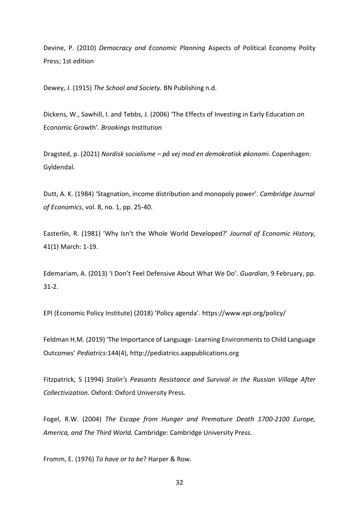Devine, P. (2010) *Democracy and Economic Planning* Aspects of Political Economy Polity Press; 1st edition

Dewey, J. (1915) *The School and Society.* BN Publishing n.d.

Dickens, W., Sawhill, I. and Tebbs, J. (2006) 'The Effects of Investing in Early Education on Economic Growth'. *Brookings Institution*

Dragsted, p. (2021) *Nordisk socialisme – på vej mod en demokratisk økonomi*. Copenhagen: Gyldendal.

Dutt, A. K. (1984) 'Stagnation, income distribution and monopoly power'. *Cambridge Journal of Economics*, vol. 8, no. 1, pp. 25-40.

Easterlin, R. (1981) 'Why Isn't the Whole World Developed?' *Journal of Economic History,* 41(1) March: 1-19.

Edemariam, A. (2013) 'I Don't Feel Defensive About What We Do'. *Guardian*, 9 February, pp. 31-2.

EPI (Economic Policy Institute) (2018) 'Policy agenda'. https://www.epi.org/policy/

Feldman H.M. (2019) 'The Importance of Language- Learning Environments to Child Language Outcomes' *Pediatrics*:144(4), http://pediatrics.aappublications.org

Fitzpatrick, S (1994) *Stalin's Peasants Resistance and Survival in the Russian Village After Collectivization.* Oxford: Oxford University Press.

Fogel, R.W. (2004) *The Escape from Hunger and Premature Death 1700-2100 Europe, America, and The Third World.* Cambridge: Cambridge University Press.

Fromm, E. (1976) *To have or to be*? Harper & Row.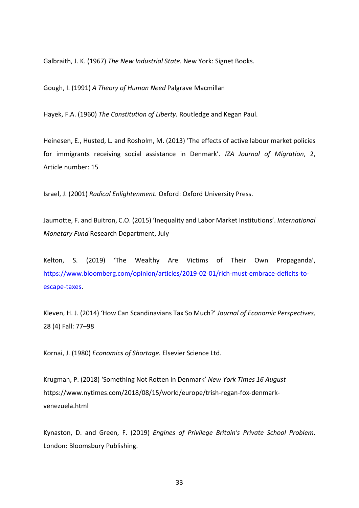Galbraith, J. K. (1967) *The New Industrial State.* New York: Signet Books.

Gough, I. (1991) *A Theory of Human Need* Palgrave Macmillan

Hayek, F.A. (1960) *The Constitution of Liberty.* Routledge and Kegan Paul.

Heinesen, E., Husted, L. and Rosholm, M. (2013) 'The effects of active labour market policies for immigrants receiving social assistance in Denmark'. *IZA Journal of Migration*, 2, Article number: 15

Israel, J. (2001) *Radical Enlightenment.* Oxford: Oxford University Press.

Jaumotte, F. and Buitron, C.O. (2015) 'Inequality and Labor Market Institutions'. *International Monetary Fund* Research Department, July

Kelton, S. (2019) 'The Wealthy Are Victims of Their Own Propaganda', [https://www.bloomberg.com/opinion/articles/2019-02-01/rich-must-embrace-deficits-to](https://www.bloomberg.com/opinion/articles/2019-02-01/rich-must-embrace-deficits-to-escape-taxes)[escape-taxes.](https://www.bloomberg.com/opinion/articles/2019-02-01/rich-must-embrace-deficits-to-escape-taxes)

Kleven, H. J. (2014) 'How Can Scandinavians Tax So Much?' *Journal of Economic Perspectives,*  28 (4) Fall: 77–98

Kornai, J. (1980) *Economics of Shortage.* Elsevier Science Ltd.

Krugman, P. (2018) 'Something Not Rotten in Denmark' *New York Times 16 August* https://www.nytimes.com/2018/08/15/world/europe/trish-regan-fox-denmarkvenezuela.html

Kynaston, D. and Green, F. (2019) *Engines of Privilege Britain's Private School Problem*. London: Bloomsbury Publishing.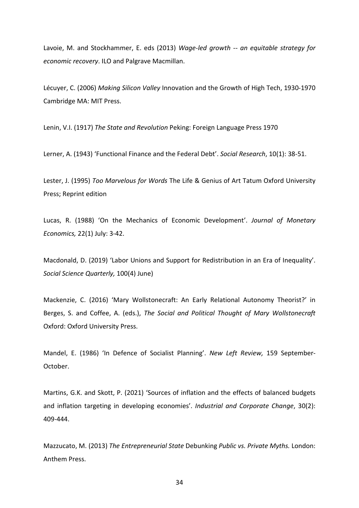Lavoie, M. and Stockhammer, E. eds (2013) *Wage-led growth -- an equitable strategy for economic recovery*. ILO and Palgrave Macmillan.

Lécuyer, C. (2006) *Making Silicon Valley* Innovation and the Growth of High Tech, 1930-1970 Cambridge MA: MIT Press.

Lenin, V.I. (1917) *The State and Revolution* Peking: Foreign Language Press 1970

Lerner, A. (1943) 'Functional Finance and the Federal Debt'. *Social Research*, 10(1): 38-51.

Lester, J. (1995) *Too Marvelous for Words* The Life & Genius of Art Tatum Oxford University Press; Reprint edition

Lucas, R. (1988) 'On the Mechanics of Economic Development'. *Journal of Monetary Economics,* 22(1) July: 3-42.

Macdonald, D. (2019) 'Labor Unions and Support for Redistribution in an Era of Inequality'. *Social Science Quarterly,* 100(4) June)

Mackenzie, C. (2016) 'Mary Wollstonecraft: An Early Relational Autonomy Theorist?' in Berges, S. and Coffee, A. (eds.), *The Social and Political Thought of Mary Wollstonecraft* Oxford: Oxford University Press.

Mandel, E. (1986) 'In Defence of Socialist Planning'. *New Left Review,* 159 September-October.

Martins, G.K. and Skott, P. (2021) 'Sources of inflation and the effects of balanced budgets and inflation targeting in developing economies'. *Industrial and Corporate Change*, 30(2): 409-444.

Mazzucato, M. (2013) *The Entrepreneurial State* Debunking *Public vs. Private Myths.* London: Anthem Press.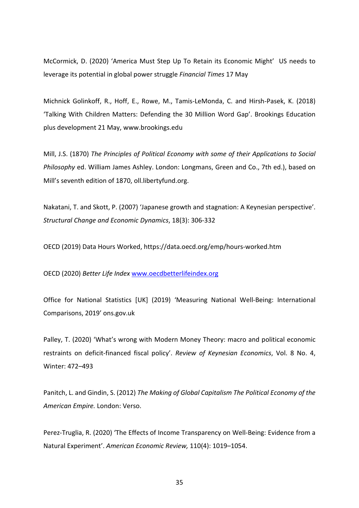McCormick, D. (2020) 'America Must Step Up To Retain its Economic Might' US needs to leverage its potential in global power struggle *Financial Times* 17 May

Michnick Golinkoff, R., Hoff, E., Rowe, M., Tamis-LeMonda, C. and Hirsh-Pasek, K. (2018) 'Talking With Children Matters: Defending the 30 Million Word Gap'. Brookings Education plus development 21 May, www.brookings.edu

Mill, J.S. (1870) *The Principles of Political Economy with some of their Applications to Social Philosophy* ed. William James Ashley. London: Longmans, Green and Co., 7th ed.), based on Mill's seventh edition of 1870, oll.libertyfund.org.

Nakatani, T. and Skott, P. (2007) 'Japanese growth and stagnation: A Keynesian perspective'. *Structural Change and Economic Dynamics*, 18(3): 306-332

OECD (2019) Data Hours Worked, https://data.oecd.org/emp/hours-worked.htm

OECD (2020) *Better Life Index* [www.oecdbetterlifeindex.org](http://www.oecdbetterlifeindex.org/)

Office for National Statistics [UK] (2019) 'Measuring National Well-Being: International Comparisons, 2019' ons.gov.uk

Palley, T. (2020) 'What's wrong with Modern Money Theory: macro and political economic restraints on deficit-financed fiscal policy'. *Review of Keynesian Economics*, Vol. 8 No. 4, Winter: 472–493

Panitch, L. and Gindin, S. (2012) *The Making of Global Capitalism The Political Economy of the American Empire.* London: Verso.

Perez-Truglia, R. (2020) 'The Effects of Income Transparency on Well-Being: Evidence from a Natural Experiment'. *American Economic Review,* 110(4): 1019–1054.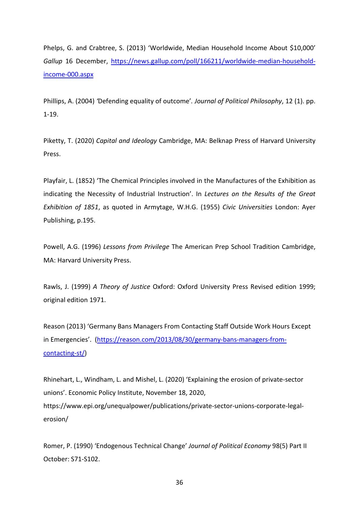Phelps, G. and Crabtree, S. (2013) 'Worldwide, Median Household Income About \$10,000' *Gallup* 16 December, [https://news.gallup.com/poll/166211/worldwide-median-household](https://news.gallup.com/poll/166211/worldwide-median-household-income-000.aspx)[income-000.aspx](https://news.gallup.com/poll/166211/worldwide-median-household-income-000.aspx)

Phillips, A. (2004) *'*Defending equality of outcome'*. Journal of Political Philosophy*, 12 (1). pp. 1-19.

Piketty, T. (2020) *Capital and Ideology* Cambridge, MA: Belknap Press of Harvard University Press.

Playfair, L. (1852) 'The Chemical Principles involved in the Manufactures of the Exhibition as indicating the Necessity of Industrial Instruction'. In *Lectures on the Results of the Great Exhibition of 1851*, as quoted in Armytage, W.H.G. (1955) *Civic Universities* London: Ayer Publishing, p.195.

Powell, A.G. (1996) *Lessons from Privilege* The American Prep School Tradition Cambridge, MA: Harvard University Press.

Rawls, J. (1999) *A Theory of Justice* Oxford: Oxford University Press Revised edition 1999; original edition 1971.

Reason (2013) 'Germany Bans Managers From Contacting Staff Outside Work Hours Except in Emergencies'. [\(https://reason.com/2013/08/30/germany-bans-managers-from](https://reason.com/2013/08/30/germany-bans-managers-from-contacting-st/)[contacting-st/\)](https://reason.com/2013/08/30/germany-bans-managers-from-contacting-st/)

Rhinehart, L., Windham, L. and Mishel, L. (2020) 'Explaining the erosion of private-sector unions'. Economic Policy Institute, November 18, 2020, https://www.epi.org/unequalpower/publications/private-sector-unions-corporate-legalerosion/

Romer, P. (1990) 'Endogenous Technical Change' *Journal of Political Economy* 98(5) Part II October: S71-S102.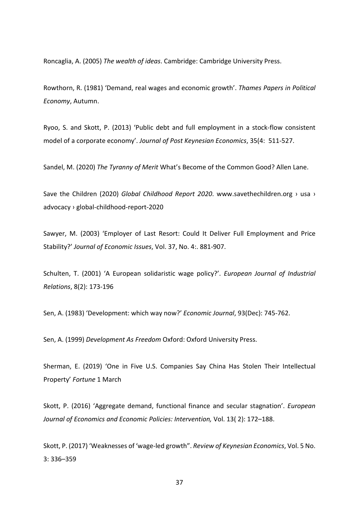Roncaglia, A. (2005) *The wealth of ideas*. Cambridge: Cambridge University Press.

Rowthorn, R. (1981) 'Demand, real wages and economic growth'. *Thames Papers in Political Economy*, Autumn.

Ryoo, S. and Skott, P. (2013) 'Public debt and full employment in a stock-flow consistent model of a corporate economy'. *Journal of Post Keynesian Economics*, 35(4: 511-527.

Sandel, M. (2020) *The Tyranny of Merit* What's Become of the Common Good? Allen Lane.

Save the Children (2020) *Global Childhood Report 2020*. www.savethechildren.org › usa › advocacy › global-childhood-report-2020

Sawyer, M. (2003) 'Employer of Last Resort: Could It Deliver Full Employment and Price Stability?' *Journal of Economic Issues*, Vol. 37, No. 4:. 881-907.

Schulten, T. (2001) 'A European solidaristic wage policy?'. *European Journal of Industrial Relations*, 8(2): 173-196

Sen, A. (1983) 'Development: which way now?' *Economic Journal*, 93(Dec): 745-762.

Sen, A. (1999) *Development As Freedom* Oxford: Oxford University Press.

Sherman, E. (2019) 'One in Five U.S. Companies Say China Has Stolen Their Intellectual Property' *Fortune* 1 March

Skott, P. (2016) 'Aggregate demand, functional finance and secular stagnation'. *European Journal of Economics and Economic Policies: Intervention,* Vol. 13( 2): 172–188.

Skott, P. (2017) 'Weaknesses of 'wage-led growth". *Review of Keynesian Economics*, Vol. 5 No. 3: 336–359